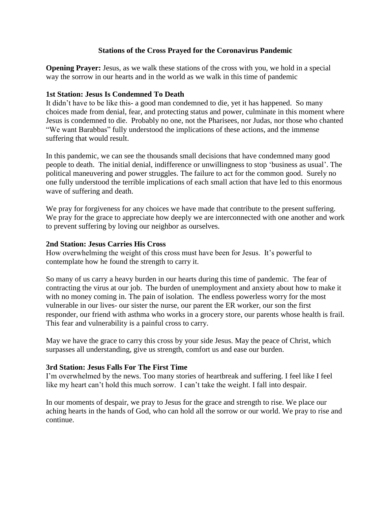# **Stations of the Cross Prayed for the Coronavirus Pandemic**

**Opening Prayer:** Jesus, as we walk these stations of the cross with you, we hold in a special way the sorrow in our hearts and in the world as we walk in this time of pandemic

# **1st Station: Jesus Is Condemned To Death**

It didn't have to be like this- a good man condemned to die, yet it has happened. So many choices made from denial, fear, and protecting status and power, culminate in this moment where Jesus is condemned to die. Probably no one, not the Pharisees, nor Judas, nor those who chanted "We want Barabbas" fully understood the implications of these actions, and the immense suffering that would result.

In this pandemic, we can see the thousands small decisions that have condemned many good people to death. The initial denial, indifference or unwillingness to stop 'business as usual'. The political maneuvering and power struggles. The failure to act for the common good. Surely no one fully understood the terrible implications of each small action that have led to this enormous wave of suffering and death.

We pray for forgiveness for any choices we have made that contribute to the present suffering. We pray for the grace to appreciate how deeply we are interconnected with one another and work to prevent suffering by loving our neighbor as ourselves.

# **2nd Station: Jesus Carries His Cross**

How overwhelming the weight of this cross must have been for Jesus. It's powerful to contemplate how he found the strength to carry it.

So many of us carry a heavy burden in our hearts during this time of pandemic. The fear of contracting the virus at our job. The burden of unemployment and anxiety about how to make it with no money coming in. The pain of isolation. The endless powerless worry for the most vulnerable in our lives- our sister the nurse, our parent the ER worker, our son the first responder, our friend with asthma who works in a grocery store, our parents whose health is frail. This fear and vulnerability is a painful cross to carry.

May we have the grace to carry this cross by your side Jesus. May the peace of Christ, which surpasses all understanding, give us strength, comfort us and ease our burden.

# **3rd Station: Jesus Falls For The First Time**

I'm overwhelmed by the news. Too many stories of heartbreak and suffering. I feel like I feel like my heart can't hold this much sorrow. I can't take the weight. I fall into despair.

In our moments of despair, we pray to Jesus for the grace and strength to rise. We place our aching hearts in the hands of God, who can hold all the sorrow or our world. We pray to rise and continue.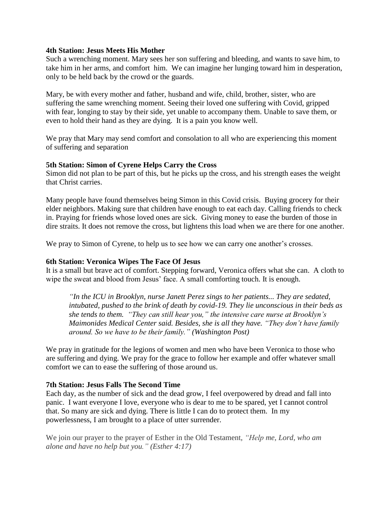# **4th Station: Jesus Meets His Mother**

Such a wrenching moment. Mary sees her son suffering and bleeding, and wants to save him, to take him in her arms, and comfort him. We can imagine her lunging toward him in desperation, only to be held back by the crowd or the guards.

Mary, be with every mother and father, husband and wife, child, brother, sister, who are suffering the same wrenching moment. Seeing their loved one suffering with Covid, gripped with fear, longing to stay by their side, yet unable to accompany them. Unable to save them, or even to hold their hand as they are dying. It is a pain you know well.

We pray that Mary may send comfort and consolation to all who are experiencing this moment of suffering and separation

# **5th Station: Simon of Cyrene Helps Carry the Cross**

Simon did not plan to be part of this, but he picks up the cross, and his strength eases the weight that Christ carries.

Many people have found themselves being Simon in this Covid crisis. Buying grocery for their elder neighbors. Making sure that children have enough to eat each day. Calling friends to check in. Praying for friends whose loved ones are sick. Giving money to ease the burden of those in dire straits. It does not remove the cross, but lightens this load when we are there for one another.

We pray to Simon of Cyrene, to help us to see how we can carry one another's crosses.

# **6th Station: Veronica Wipes The Face Of Jesus**

It is a small but brave act of comfort. Stepping forward, Veronica offers what she can. A cloth to wipe the sweat and blood from Jesus' face. A small comforting touch. It is enough.

*"In the ICU in Brooklyn, nurse Janett Perez sings to her patients... They are sedated, intubated, pushed to the brink of death by covid-19. They lie unconscious in their beds as she tends to them. "They can still hear you," the intensive care nurse at Brooklyn's Maimonides Medical Center said. Besides, she is all they have. "They don't have family around. So we have to be their family." (Washington Post)*

We pray in gratitude for the legions of women and men who have been Veronica to those who are suffering and dying. We pray for the grace to follow her example and offer whatever small comfort we can to ease the suffering of those around us.

# **7th Station: Jesus Falls The Second Time**

Each day, as the number of sick and the dead grow, I feel overpowered by dread and fall into panic. I want everyone I love, everyone who is dear to me to be spared, yet I cannot control that. So many are sick and dying. There is little I can do to protect them. In my powerlessness, I am brought to a place of utter surrender.

We join our prayer to the prayer of Esther in the Old Testament, *"Help me, Lord, who am alone and have no help but you." (Esther 4:17)*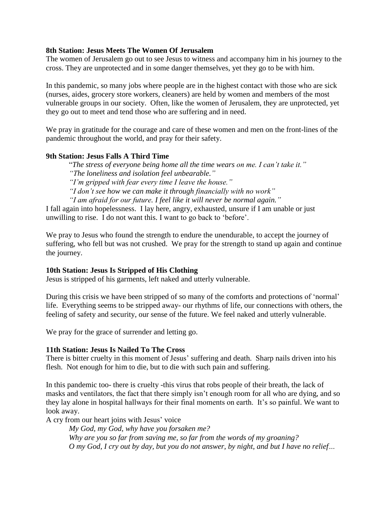# **8th Station: Jesus Meets The Women Of Jerusalem**

The women of Jerusalem go out to see Jesus to witness and accompany him in his journey to the cross. They are unprotected and in some danger themselves, yet they go to be with him.

In this pandemic, so many jobs where people are in the highest contact with those who are sick (nurses, aides, grocery store workers, cleaners) are held by women and members of the most vulnerable groups in our society. Often, like the women of Jerusalem, they are unprotected, yet they go out to meet and tend those who are suffering and in need.

We pray in gratitude for the courage and care of these women and men on the front-lines of the pandemic throughout the world, and pray for their safety.

#### **9th Station: Jesus Falls A Third Time**

"*The stress of everyone being home all the time wears on me. I can't take it." "The loneliness and isolation feel unbearable." "I'm gripped with fear every time I leave the house." "I don't see how we can make it through financially with no work" "I am afraid for our future. I feel like it will never be normal again."*

I fall again into hopelessness. I lay here, angry, exhausted, unsure if I am unable or just unwilling to rise. I do not want this. I want to go back to 'before'.

We pray to Jesus who found the strength to endure the unendurable, to accept the journey of suffering, who fell but was not crushed. We pray for the strength to stand up again and continue the journey.

# **10th Station: Jesus Is Stripped of His Clothing**

Jesus is stripped of his garments, left naked and utterly vulnerable.

During this crisis we have been stripped of so many of the comforts and protections of 'normal' life. Everything seems to be stripped away- our rhythms of life, our connections with others, the feeling of safety and security, our sense of the future. We feel naked and utterly vulnerable.

We pray for the grace of surrender and letting go.

# **11th Station: Jesus Is Nailed To The Cross**

There is bitter cruelty in this moment of Jesus' suffering and death. Sharp nails driven into his flesh. Not enough for him to die, but to die with such pain and suffering.

In this pandemic too- there is cruelty -this virus that robs people of their breath, the lack of masks and ventilators, the fact that there simply isn't enough room for all who are dying, and so they lay alone in hospital hallways for their final moments on earth. It's so painful. We want to look away.

A cry from our heart joins with Jesus' voice

*My God, my God, why have you forsaken me? Why are you so far from saving me, so far from the words of my groaning? O my God, I cry out by day, but you do not answer, by night, and but I have no relief…*